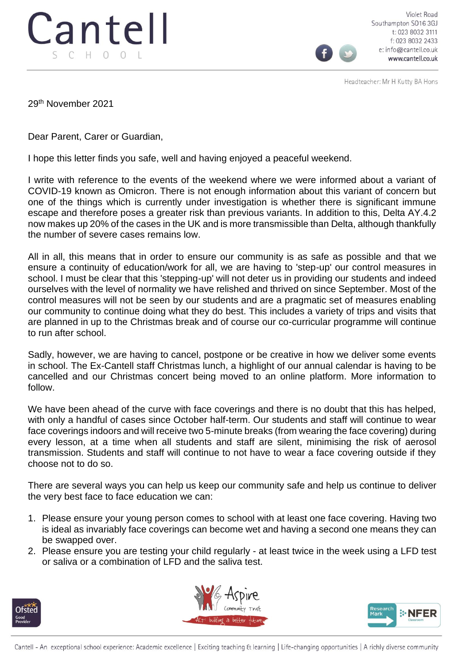

Violet Road Southampton SO16 3GJ t: 023 8032 3111 f: 023 8032 2433 e: info@cantell.co.uk www.cantell.co.uk

Headteacher: Mr H Kutty BA Hons

29th November 2021

Dear Parent, Carer or Guardian,

I hope this letter finds you safe, well and having enjoyed a peaceful weekend.

I write with reference to the events of the weekend where we were informed about a variant of COVID-19 known as Omicron. There is not enough information about this variant of concern but one of the things which is currently under investigation is whether there is significant immune escape and therefore poses a greater risk than previous variants. In addition to this, Delta AY.4.2 now makes up 20% of the cases in the UK and is more transmissible than Delta, although thankfully the number of severe cases remains low.

All in all, this means that in order to ensure our community is as safe as possible and that we ensure a continuity of education/work for all, we are having to 'step-up' our control measures in school. I must be clear that this 'stepping-up' will not deter us in providing our students and indeed ourselves with the level of normality we have relished and thrived on since September. Most of the control measures will not be seen by our students and are a pragmatic set of measures enabling our community to continue doing what they do best. This includes a variety of trips and visits that are planned in up to the Christmas break and of course our co-curricular programme will continue to run after school.

Sadly, however, we are having to cancel, postpone or be creative in how we deliver some events in school. The Ex-Cantell staff Christmas lunch, a highlight of our annual calendar is having to be cancelled and our Christmas concert being moved to an online platform. More information to follow.

We have been ahead of the curve with face coverings and there is no doubt that this has helped, with only a handful of cases since October half-term. Our students and staff will continue to wear face coverings indoors and will receive two 5-minute breaks (from wearing the face covering) during every lesson, at a time when all students and staff are silent, minimising the risk of aerosol transmission. Students and staff will continue to not have to wear a face covering outside if they choose not to do so.

There are several ways you can help us keep our community safe and help us continue to deliver the very best face to face education we can:

- 1. Please ensure your young person comes to school with at least one face covering. Having two is ideal as invariably face coverings can become wet and having a second one means they can be swapped over.
- 2. Please ensure you are testing your child regularly at least twice in the week using a LFD test or saliva or a combination of LFD and the saliva test.